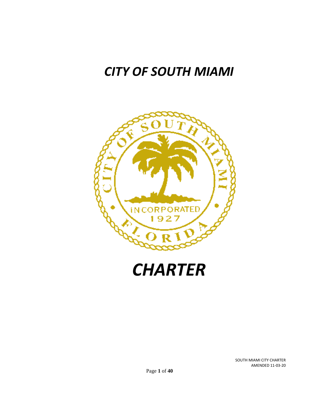# *CITY OF SOUTH MIAMI*





SOUTH MIAMI CITY CHARTER AMENDED 11-03-20

Page **1** of **40**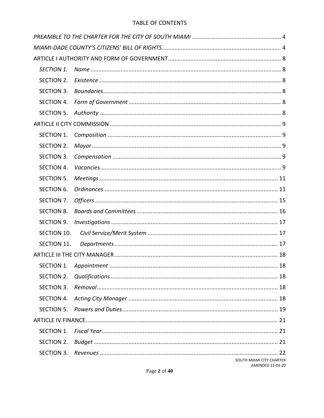### TABLE OF CONTENTS

| <b>SECTION 1.</b> |                                              |  |
|-------------------|----------------------------------------------|--|
| SECTION 2.        |                                              |  |
| <b>SECTION 3.</b> |                                              |  |
| SECTION 4.        |                                              |  |
| SECTION 5.        |                                              |  |
|                   |                                              |  |
| <b>SECTION 1.</b> |                                              |  |
| SECTION 2.        |                                              |  |
| <b>SECTION 3.</b> |                                              |  |
| <b>SECTION 4.</b> |                                              |  |
| <b>SECTION 5.</b> |                                              |  |
| <b>SECTION 6.</b> |                                              |  |
| SECTION 7.        |                                              |  |
| <b>SECTION 8.</b> |                                              |  |
| <b>SECTION 9.</b> |                                              |  |
| SECTION 10.       |                                              |  |
| SECTION 11.       |                                              |  |
|                   |                                              |  |
| SECTION 1.        |                                              |  |
| SECTION 2.        |                                              |  |
| SECTION 3.        |                                              |  |
| SECTION 4.        |                                              |  |
| SECTION 5.        |                                              |  |
|                   |                                              |  |
| SECTION 1.        |                                              |  |
| SECTION 2.        |                                              |  |
|                   |                                              |  |
|                   | SOUTH MIAMI CITY CHARTER<br>AMENDED 11-03-20 |  |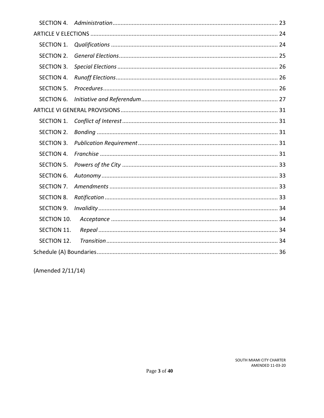| SECTION 4.        |  |  |
|-------------------|--|--|
|                   |  |  |
| <b>SECTION 1.</b> |  |  |
| SECTION 2.        |  |  |
| SECTION 3.        |  |  |
| <b>SECTION 4.</b> |  |  |
| <b>SECTION 5.</b> |  |  |
| <b>SECTION 6.</b> |  |  |
|                   |  |  |
| <b>SECTION 1.</b> |  |  |
| SECTION 2.        |  |  |
| <b>SECTION 3.</b> |  |  |
| <b>SECTION 4.</b> |  |  |
| <b>SECTION 5.</b> |  |  |
| <b>SECTION 6.</b> |  |  |
| SECTION 7.        |  |  |
| <b>SECTION 8.</b> |  |  |
| <b>SECTION 9.</b> |  |  |
| SECTION 10.       |  |  |
| SECTION 11.       |  |  |
| SECTION 12.       |  |  |
|                   |  |  |

(Amended 2/11/14)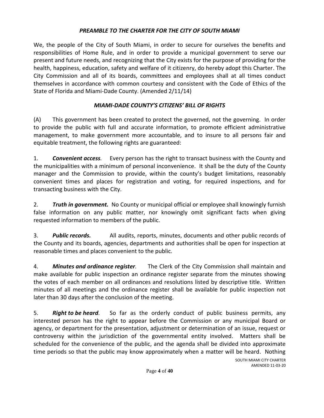# *PREAMBLE TO THE CHARTER FOR THE CITY OF SOUTH MIAMI*

<span id="page-3-0"></span>We, the people of the City of South Miami, in order to secure for ourselves the benefits and responsibilities of Home Rule, and in order to provide a municipal government to serve our present and future needs, and recognizing that the City exists for the purpose of providing for the health, happiness, education, safety and welfare of it citizenry, do hereby adopt this Charter. The City Commission and all of its boards, committees and employees shall at all times conduct themselves in accordance with common courtesy and consistent with the Code of Ethics of the State of Florida and Miami-Dade County. (Amended 2/11/14)

# *MIAMI-DADE COUNTY'S CITIZENS' BILL OF RIGHTS*

<span id="page-3-1"></span>(A) This government has been created to protect the governed, not the governing. In order to provide the public with full and accurate information, to promote efficient administrative management, to make government more accountable, and to insure to all persons fair and equitable treatment, the following rights are guaranteed:

1. *Convenient access.* Every person has the right to transact business with the County and the municipalities with a minimum of personal inconvenience. It shall be the duty of the County manager and the Commission to provide, within the county's budget limitations, reasonably convenient times and places for registration and voting, for required inspections, and for transacting business with the City.

2. *Truth in government.* No County or municipal official or employee shall knowingly furnish false information on any public matter, nor knowingly omit significant facts when giving requested information to members of the public.

3. *Public records.* All audits, reports, minutes, documents and other public records of the County and its boards, agencies, departments and authorities shall be open for inspection at reasonable times and places convenient to the public.

4. *Minutes and ordinance register.* The Clerk of the City Commission shall maintain and make available for public inspection an ordinance register separate from the minutes showing the votes of each member on all ordinances and resolutions listed by descriptive title. Written minutes of all meetings and the ordinance register shall be available for public inspection not later than 30 days after the conclusion of the meeting.

5. *Right to be heard.* So far as the orderly conduct of public business permits, any interested person has the right to appear before the Commission or any municipal Board or agency, or department for the presentation, adjustment or determination of an issue, request or controversy within the jurisdiction of the governmental entity involved. Matters shall be scheduled for the convenience of the public, and the agenda shall be divided into approximate time periods so that the public may know approximately when a matter will be heard. Nothing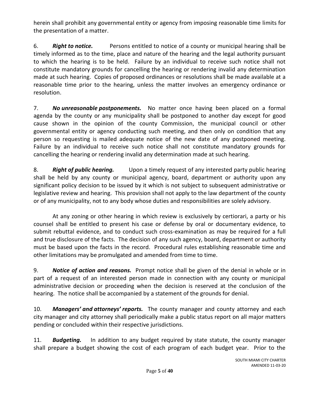herein shall prohibit any governmental entity or agency from imposing reasonable time limits for the presentation of a matter.

6. *Right to notice.* Persons entitled to notice of a county or municipal hearing shall be timely informed as to the time, place and nature of the hearing and the legal authority pursuant to which the hearing is to be held. Failure by an individual to receive such notice shall not constitute mandatory grounds for cancelling the hearing or rendering invalid any determination made at such hearing. Copies of proposed ordinances or resolutions shall be made available at a reasonable time prior to the hearing, unless the matter involves an emergency ordinance or resolution.

7. *No unreasonable postponements.* No matter once having been placed on a formal agenda by the county or any municipality shall be postponed to another day except for good cause shown in the opinion of the county Commission, the municipal council or other governmental entity or agency conducting such meeting, and then only on condition that any person so requesting is mailed adequate notice of the new date of any postponed meeting. Failure by an individual to receive such notice shall not constitute mandatory grounds for cancelling the hearing or rendering invalid any determination made at such hearing.

8. *Right of public hearing.* Upon a timely request of any interested party public hearing shall be held by any county or municipal agency, board, department or authority upon any significant policy decision to be issued by it which is not subject to subsequent administrative or legislative review and hearing. This provision shall not apply to the law department of the county or of any municipality, not to any body whose duties and responsibilities are solely advisory.

At any zoning or other hearing in which review is exclusively by certiorari, a party or his counsel shall be entitled to present his case or defense by oral or documentary evidence, to submit rebuttal evidence, and to conduct such cross-examination as may be required for a full and true disclosure of the facts. The decision of any such agency, board, department or authority must be based upon the facts in the record. Procedural rules establishing reasonable time and other limitations may be promulgated and amended from time to time.

9. *Notice of action and reasons.* Prompt notice shall be given of the denial in whole or in part of a request of an interested person made in connection with any county or municipal administrative decision or proceeding when the decision is reserved at the conclusion of the hearing. The notice shall be accompanied by a statement of the grounds for denial.

10. *Managers' and attorneys' reports.* The county manager and county attorney and each city manager and city attorney shall periodically make a public status report on all major matters pending or concluded within their respective jurisdictions.

11. *Budgeting.* In addition to any budget required by state statute, the county manager shall prepare a budget showing the cost of each program of each budget year. Prior to the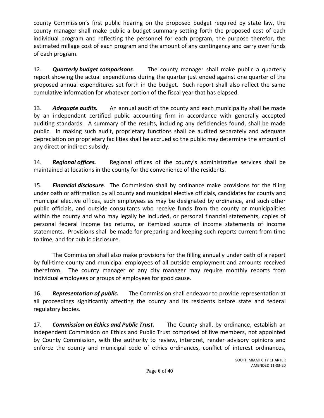county Commission's first public hearing on the proposed budget required by state law, the county manager shall make public a budget summary setting forth the proposed cost of each individual program and reflecting the personnel for each program, the purpose therefor, the estimated millage cost of each program and the amount of any contingency and carry over funds of each program.

12. *Quarterly budget comparisons.* The county manager shall make public a quarterly report showing the actual expenditures during the quarter just ended against one quarter of the proposed annual expenditures set forth in the budget. Such report shall also reflect the same cumulative information for whatever portion of the fiscal year that has elapsed.

13. *Adequate audits.* An annual audit of the county and each municipality shall be made by an independent certified public accounting firm in accordance with generally accepted auditing standards. A summary of the results, including any deficiencies found, shall be made public. In making such audit, proprietary functions shall be audited separately and adequate depreciation on proprietary facilities shall be accrued so the public may determine the amount of any direct or indirect subsidy.

14. *Regional offices.* Regional offices of the county's administrative services shall be maintained at locations in the county for the convenience of the residents.

15. *Financial disclosure.* The Commission shall by ordinance make provisions for the filing under oath or affirmation by all county and municipal elective officials, candidates for county and municipal elective offices, such employees as may be designated by ordinance, and such other public officials, and outside consultants who receive funds from the county or municipalities within the county and who may legally be included, or personal financial statements, copies of personal federal income tax returns, or itemized source of income statements of income statements. Provisions shall be made for preparing and keeping such reports current from time to time, and for public disclosure.

The Commission shall also make provisions for the filling annually under oath of a report by full-time county and municipal employees of all outside employment and amounts received therefrom. The county manager or any city manager may require monthly reports from individual employees or groups of employees for good cause.

16. *Representation of public.* The Commission shall endeavor to provide representation at all proceedings significantly affecting the county and its residents before state and federal regulatory bodies.

17. *Commission on Ethics and Public Trust.* The County shall, by ordinance, establish an independent Commission on Ethics and Public Trust comprised of five members, not appointed by County Commission, with the authority to review, interpret, render advisory opinions and enforce the county and municipal code of ethics ordinances, conflict of interest ordinances,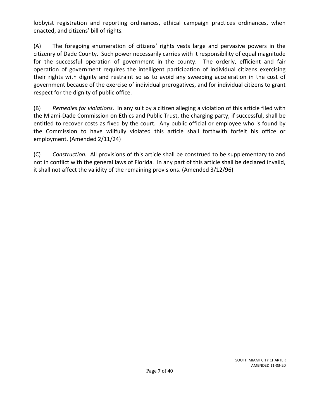lobbyist registration and reporting ordinances, ethical campaign practices ordinances, when enacted, and citizens' bill of rights.

(A) The foregoing enumeration of citizens' rights vests large and pervasive powers in the citizenry of Dade County. Such power necessarily carries with it responsibility of equal magnitude for the successful operation of government in the county. The orderly, efficient and fair operation of government requires the intelligent participation of individual citizens exercising their rights with dignity and restraint so as to avoid any sweeping acceleration in the cost of government because of the exercise of individual prerogatives, and for individual citizens to grant respect for the dignity of public office.

(B) *Remedies for violations*. In any suit by a citizen alleging a violation of this article filed with the Miami-Dade Commission on Ethics and Public Trust, the charging party, if successful, shall be entitled to recover costs as fixed by the court. Any public official or employee who is found by the Commission to have willfully violated this article shall forthwith forfeit his office or employment. (Amended 2/11/24)

(C) *Construction.* All provisions of this article shall be construed to be supplementary to and not in conflict with the general laws of Florida. In any part of this article shall be declared invalid, it shall not affect the validity of the remaining provisions. (Amended 3/12/96)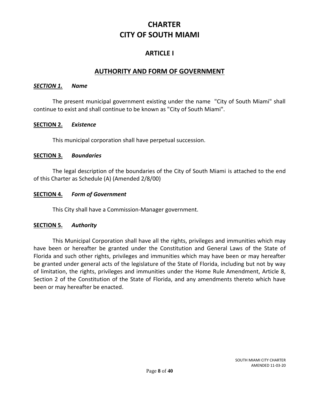# **CHARTER CITY OF SOUTH MIAMI**

# **ARTICLE I**

# **AUTHORITY AND FORM OF GOVERNMENT**

#### <span id="page-7-1"></span><span id="page-7-0"></span>*SECTION 1. Name*

The present municipal government existing under the name "City of South Miami" shall continue to exist and shall continue to be known as "City of South Miami".

#### <span id="page-7-2"></span>**SECTION 2.** *Existence*

This municipal corporation shall have perpetual succession.

#### <span id="page-7-3"></span>**SECTION 3.** *Boundaries*

The legal description of the boundaries of the City of South Miami is attached to the end of this Charter as Schedule (A) (Amended 2/8/00)

#### <span id="page-7-4"></span>**SECTION 4.** *Form of Government*

This City shall have a Commission-Manager government.

### <span id="page-7-5"></span>**SECTION 5.** *Authority*

This Municipal Corporation shall have all the rights, privileges and immunities which may have been or hereafter be granted under the Constitution and General Laws of the State of Florida and such other rights, privileges and immunities which may have been or may hereafter be granted under general acts of the legislature of the State of Florida, including but not by way of limitation, the rights, privileges and immunities under the Home Rule Amendment, Article 8, Section 2 of the Constitution of the State of Florida, and any amendments thereto which have been or may hereafter be enacted.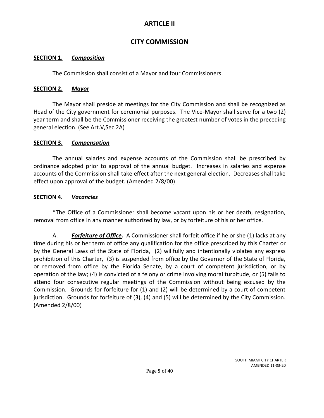# **ARTICLE II**

# **CITY COMMISSION**

### <span id="page-8-1"></span><span id="page-8-0"></span>**SECTION 1.** *Composition*

The Commission shall consist of a Mayor and four Commissioners.

## <span id="page-8-2"></span>**SECTION 2.** *Mayor*

The Mayor shall preside at meetings for the City Commission and shall be recognized as Head of the City government for ceremonial purposes. The Vice-Mayor shall serve for a two (2) year term and shall be the Commissioner receiving the greatest number of votes in the preceding general election. (See Art.V,Sec.2A)

## <span id="page-8-3"></span>**SECTION 3.** *Compensation*

The annual salaries and expense accounts of the Commission shall be prescribed by ordinance adopted prior to approval of the annual budget. Increases in salaries and expense accounts of the Commission shall take effect after the next general election. Decreases shall take effect upon approval of the budget. (Amended 2/8/00)

## <span id="page-8-4"></span>**SECTION 4.** *Vacancies*

\*The Office of a Commissioner shall become vacant upon his or her death, resignation, removal from office in any manner authorized by law, or by forfeiture of his or her office.

A. *Forfeiture of Office.* A Commissioner shall forfeit office if he or she (1) lacks at any time during his or her term of office any qualification for the office prescribed by this Charter or by the General Laws of the State of Florida, (2) willfully and intentionally violates any express prohibition of this Charter, (3) is suspended from office by the Governor of the State of Florida, or removed from office by the Florida Senate, by a court of competent jurisdiction, or by operation of the law; (4) is convicted of a felony or crime involving moral turpitude, or (5) fails to attend four consecutive regular meetings of the Commission without being excused by the Commission. Grounds for forfeiture for (1) and (2) will be determined by a court of competent jurisdiction. Grounds for forfeiture of (3), (4) and (5) will be determined by the City Commission. (Amended 2/8/00)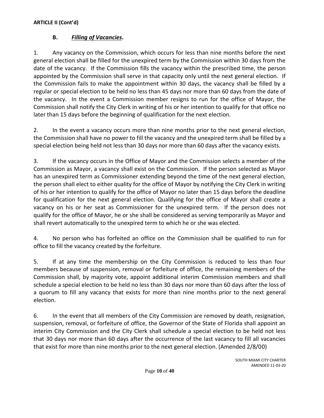# **B.** *Filling of Vacancies***.**

1. Any vacancy on the Commission, which occurs for less than nine months before the next general election shall be filled for the unexpired term by the Commission within 30 days from the date of the vacancy. If the Commission fills the vacancy within the prescribed time, the person appointed by the Commission shall serve in that capacity only until the next general election. If the Commission fails to make the appointment within 30 days, the vacancy shall be filled by a regular or special election to be held no less than 45 days nor more than 60 days from the date of the vacancy. In the event a Commission member resigns to run for the office of Mayor, the Commission shall notify the City Clerk in writing of his or her intention to qualify for that office no later than 15 days before the beginning of qualification for the next election.

2. In the event a vacancy occurs more than nine months prior to the next general election, the Commission shall have no power to fill the vacancy and the unexpired term shall be filled by a special election being held not less than 30 days nor more than 60 days after the vacancy exists.

3. If the vacancy occurs in the Office of Mayor and the Commission selects a member of the Commission as Mayor, a vacancy shall exist on the Commission. If the person selected as Mayor has an unexpired term as Commissioner extending beyond the time of the next general election, the person shall elect to either quality for the office of Mayor by notifying the City Clerk in writing of his or her intention to qualify for the office of Mayor no later than 15 days before the deadline for qualification for the next general election. Qualifying for the office of Mayor shall create a vacancy on his or her seat as Commissioner for the unexpired term. If the person does not qualify for the office of Mayor, he or she shall be considered as serving temporarily as Mayor and shall revert automatically to the unexpired term to which he or she was elected.

4. No person who has forfeited an office on the Commission shall be qualified to run for office to fill the vacancy created by the forfeiture.

5. If at any time the membership on the City Commission is reduced to less than four members because of suspension, removal or forfeiture of office, the remaining members of the Commission shall, by majority vote, appoint additional interim Commission members and shall schedule a special election to be held no less than 30 days nor more than 60 days after the loss of a quorum to fill any vacancy that exists for more than nine months prior to the next general election.

6. In the event that all members of the City Commission are removed by death, resignation, suspension, removal, or forfeiture of office, the Governor of the State of Florida shall appoint an interim City Commission and the City Clerk shall schedule a special election to be held not less that 30 days nor more than 60 days after the occurrence of the last vacancy to fill all vacancies that exist for more than nine months prior to the next general election. (Amended 2/8/00)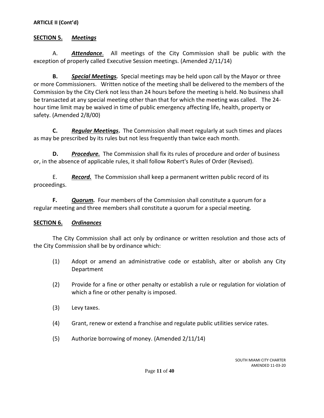### <span id="page-10-0"></span>**SECTION 5.** *Meetings*

A. *Attendance*. All meetings of the City Commission shall be public with the exception of properly called Executive Session meetings. (Amended 2/11/14)

**B.** *Special Meetings.*Special meetings may be held upon call by the Mayor or three or more Commissioners. Written notice of the meeting shall be delivered to the members of the Commission by the City Clerk not less than 24 hours before the meeting is held. No business shall be transacted at any special meeting other than that for which the meeting was called. The 24 hour time limit may be waived in time of public emergency affecting life, health, property or safety. (Amended 2/8/00)

**C.** *Regular Meetings***.** The Commission shall meet regularly at such times and places as may be prescribed by its rules but not less frequently than twice each month.

**D.** *Procedure.* The Commission shall fix its rules of procedure and order of business or, in the absence of applicable rules, it shall follow Robert's Rules of Order (Revised).

E. *Record.*The Commission shall keep a permanent written public record of its proceedings.

**F.** *Quorum.* Four members of the Commission shall constitute a quorum for a regular meeting and three members shall constitute a quorum for a special meeting.

### <span id="page-10-1"></span>**SECTION 6.** *Ordinances*

The City Commission shall act only by ordinance or written resolution and those acts of the City Commission shall be by ordinance which:

- (1) Adopt or amend an administrative code or establish, alter or abolish any City Department
- (2) Provide for a fine or other penalty or establish a rule or regulation for violation of which a fine or other penalty is imposed.
- (3) Levy taxes.
- (4) Grant, renew or extend a franchise and regulate public utilities service rates.
- (5) Authorize borrowing of money. (Amended 2/11/14)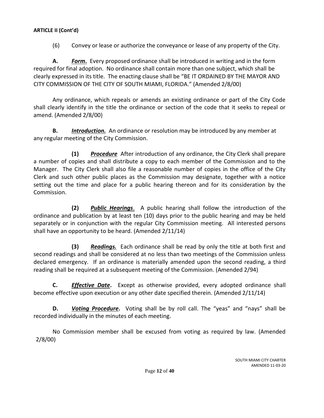(6) Convey or lease or authorize the conveyance or lease of any property of the City.

**A.** *Form***.** Every proposed ordinance shall be introduced in writing and in the form required for final adoption. No ordinance shall contain more than one subject, which shall be clearly expressed in its title. The enacting clause shall be "BE IT ORDAINED BY THE MAYOR AND CITY COMMISSION OF THE CITY OF SOUTH MIAMI, FLORIDA." (Amended 2/8/00)

Any ordinance, which repeals or amends an existing ordinance or part of the City Code shall clearly identify in the title the ordinance or section of the code that it seeks to repeal or amend. (Amended 2/8/00)

**B.** *Introduction.*An ordinance or resolution may be introduced by any member at any regular meeting of the City Commission.

**(1)** *Procedure* After introduction of any ordinance, the City Clerk shall prepare a number of copies and shall distribute a copy to each member of the Commission and to the Manager. The City Clerk shall also file a reasonable number of copies in the office of the City Clerk and such other public places as the Commission may designate, together with a notice setting out the time and place for a public hearing thereon and for its consideration by the Commission.

**(2)** *Public Hearings*. A public hearing shall follow the introduction of the ordinance and publication by at least ten (10) days prior to the public hearing and may be held separately or in conjunction with the regular City Commission meeting. All interested persons shall have an opportunity to be heard. (Amended 2/11/14)

**(3)** *Readings.* Each ordinance shall be read by only the title at both first and second readings and shall be considered at no less than two meetings of the Commission unless declared emergency. If an ordinance is materially amended upon the second reading, a third reading shall be required at a subsequent meeting of the Commission. (Amended 2/94)

**C.** *Effective Date***.** Except as otherwise provided, every adopted ordinance shall become effective upon execution or any other date specified therein. (Amended 2/11/14)

**D.** *Voting Procedure***.** Voting shall be by roll call. The "yeas" and "nays" shall be recorded individually in the minutes of each meeting.

No Commission member shall be excused from voting as required by law. (Amended 2/8/00)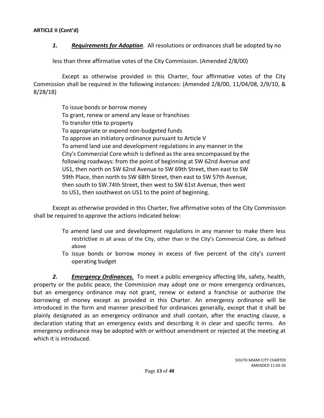*1. Requirements for Adoption*. All resolutions or ordinances shall be adopted by no

less than three affirmative votes of the City Commission. (Amended 2/8/00)

Except as otherwise provided in this Charter, four affirmative votes of the City Commission shall be required in the following instances: (Amended 2/8/00, 11/04/08, 2/9/10, & 8/28/18)

> To issue bonds or borrow money To grant, renew or amend any lease or franchises To transfer title to property To appropriate or expend non-budgeted funds To approve an initiatory ordinance pursuant to Article V To amend land use and development regulations in any manner in the City's Commercial Core which is defined as the area encompassed by the following roadways: from the point of beginning at SW 62nd Avenue and US1, then north on SW 62nd Avenue to SW 69th Street, then east to SW 59th Place, then north to SW 68th Street, then east to SW 57th Avenue, then south to SW.74th Street, then west to SW 61st Avenue, then west to US1, then southwest on US1 to the point of beginning.

Except as otherwise provided in this Charter, five affirmative votes of the City Commission shall be required to approve the actions indicated below:

- To amend land use and development regulations in any manner to make them less restrictive in all areas of the City, other than in the City's Commercial Core, as defined above
- To issue bonds or borrow money in excess of five percent of the city's current operating budget

*2. Emergency Ordinances.* To meet a public emergency affecting life, safety, health, property or the public peace, the Commission may adopt one or more emergency ordinances, but an emergency ordinance may not grant, renew or extend a franchise or authorize the borrowing of money except as provided in this Charter. An emergency ordinance will be introduced in the form and manner prescribed for ordinances generally, except that it shall be plainly designated as an emergency ordinance and shall contain, after the enacting clause, a declaration stating that an emergency exists and describing it in clear and specific terms. An emergency ordinance may be adopted with or without amendment or rejected at the meeting at which it is introduced.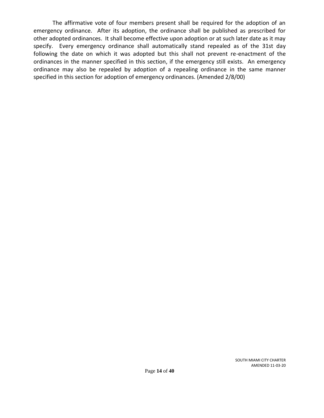The affirmative vote of four members present shall be required for the adoption of an emergency ordinance. After its adoption, the ordinance shall be published as prescribed for other adopted ordinances. It shall become effective upon adoption or at such later date as it may specify. Every emergency ordinance shall automatically stand repealed as of the 31st day following the date on which it was adopted but this shall not prevent re-enactment of the ordinances in the manner specified in this section, if the emergency still exists. An emergency ordinance may also be repealed by adoption of a repealing ordinance in the same manner specified in this section for adoption of emergency ordinances. (Amended 2/8/00)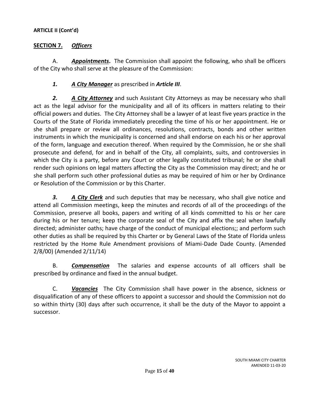## <span id="page-14-0"></span>**SECTION 7.** *Officers*

A. *Appointments***.** The Commission shall appoint the following, who shall be officers of the City who shall serve at the pleasure of the Commission:

# *1. A City Manager* as prescribed in *Article III*.

*2. A City Attorney* and such Assistant City Attorneys as may be necessary who shall act as the legal advisor for the municipality and all of its officers in matters relating to their official powers and duties. The City Attorney shall be a lawyer of at least five years practice in the Courts of the State of Florida immediately preceding the time of his or her appointment. He or she shall prepare or review all ordinances, resolutions, contracts, bonds and other written instruments in which the municipality is concerned and shall endorse on each his or her approval of the form, language and execution thereof. When required by the Commission, he or she shall prosecute and defend, for and in behalf of the City, all complaints, suits, and controversies in which the City is a party, before any Court or other legally constituted tribunal; he or she shall render such opinions on legal matters affecting the City as the Commission may direct; and he or she shall perform such other professional duties as may be required of him or her by Ordinance or Resolution of the Commission or by this Charter.

*3. A City Clerk* and such deputies that may be necessary, who shall give notice and attend all Commission meetings, keep the minutes and records of all of the proceedings of the Commission, preserve all books, papers and writing of all kinds committed to his or her care during his or her tenure; keep the corporate seal of the City and affix the seal when lawfully directed; administer oaths; have charge of the conduct of municipal elections;; and perform such other duties as shall be required by this Charter or by General Laws of the State of Florida unless restricted by the Home Rule Amendment provisions of Miami-Dade Dade County. (Amended 2/8/00) (Amended 2/11/14)

B. *Compensation*The salaries and expense accounts of all officers shall be prescribed by ordinance and fixed in the annual budget.

C. *Vacancies*The City Commission shall have power in the absence, sickness or disqualification of any of these officers to appoint a successor and should the Commission not do so within thirty (30) days after such occurrence, it shall be the duty of the Mayor to appoint a successor.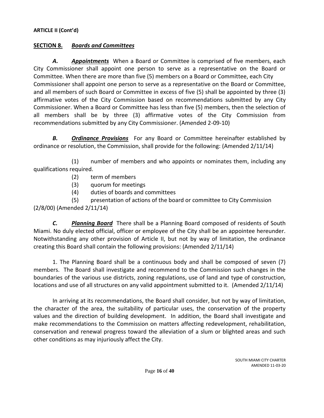### <span id="page-15-0"></span>**SECTION 8.** *Boards and Committees*

*A. Appointments* When a Board or Committee is comprised of five members, each City Commissioner shall appoint one person to serve as a representative on the Board or Committee. When there are more than five (5) members on a Board or Committee, each City Commissioner shall appoint one person to serve as a representative on the Board or Committee, and all members of such Board or Committee in excess of five (5) shall be appointed by three (3) affirmative votes of the City Commission based on recommendations submitted by any City Commissioner. When a Board or Committee has less than five (5) members, then the selection of all members shall be by three (3) affirmative votes of the City Commission from recommendations submitted by any City Commissioner. (Amended 2-09-10)

*B. Ordinance Provisions* For any Board or Committee hereinafter established by ordinance or resolution, the Commission, shall provide for the following: (Amended 2/11/14)

(1) number of members and who appoints or nominates them, including any qualifications required.

- (2) term of members
- (3) quorum for meetings
- (4) duties of boards and committees

(5) presentation of actions of the board or committee to City Commission (2/8/00) (Amended 2/11/14)

*C. Planning Board* There shall be a Planning Board composed of residents of South Miami. No duly elected official, officer or employee of the City shall be an appointee hereunder. Notwithstanding any other provision of Article II, but not by way of limitation, the ordinance creating this Board shall contain the following provisions: (Amended 2/11/14)

1. The Planning Board shall be a continuous body and shall be composed of seven (7) members. The Board shall investigate and recommend to the Commission such changes in the boundaries of the various use districts, zoning regulations, use of land and type of construction, locations and use of all structures on any valid appointment submitted to it. (Amended 2/11/14)

In arriving at its recommendations, the Board shall consider, but not by way of limitation, the character of the area, the suitability of particular uses, the conservation of the property values and the direction of building development. In addition, the Board shall investigate and make recommendations to the Commission on matters affecting redevelopment, rehabilitation, conservation and renewal progress toward the alleviation of a slum or blighted areas and such other conditions as may injuriously affect the City.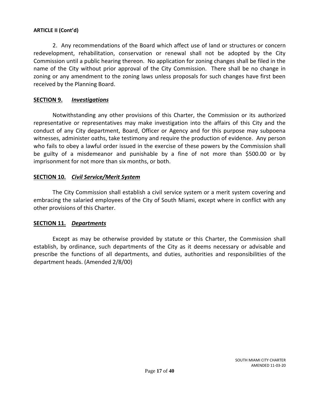2. Any recommendations of the Board which affect use of land or structures or concern redevelopment, rehabilitation, conservation or renewal shall not be adopted by the City Commission until a public hearing thereon. No application for zoning changes shall be filed in the name of the City without prior approval of the City Commission. There shall be no change in zoning or any amendment to the zoning laws unless proposals for such changes have first been received by the Planning Board.

### <span id="page-16-0"></span>**SECTION 9.** *Investigations*

Notwithstanding any other provisions of this Charter, the Commission or its authorized representative or representatives may make investigation into the affairs of this City and the conduct of any City department, Board, Officer or Agency and for this purpose may subpoena witnesses, administer oaths, take testimony and require the production of evidence. Any person who fails to obey a lawful order issued in the exercise of these powers by the Commission shall be guilty of a misdemeanor and punishable by a fine of not more than \$500.00 or by imprisonment for not more than six months, or both.

## <span id="page-16-1"></span>**SECTION 10.** *Civil Service/Merit System*

The City Commission shall establish a civil service system or a merit system covering and embracing the salaried employees of the City of South Miami, except where in conflict with any other provisions of this Charter.

### <span id="page-16-2"></span>**SECTION 11.** *Departments*

Except as may be otherwise provided by statute or this Charter, the Commission shall establish, by ordinance, such departments of the City as it deems necessary or advisable and prescribe the functions of all departments, and duties, authorities and responsibilities of the department heads. (Amended 2/8/00)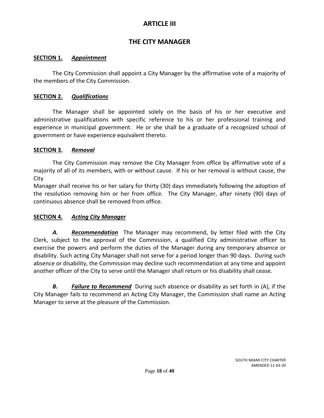# **ARTICLE III**

# **THE CITY MANAGER**

### <span id="page-17-1"></span><span id="page-17-0"></span>**SECTION 1.** *Appointment*

The City Commission shall appoint a City Manager by the affirmative vote of a majority of the members of the City Commission.

### <span id="page-17-2"></span>**SECTION 2.** *Qualifications*

The Manager shall be appointed solely on the basis of his or her executive and administrative qualifications with specific reference to his or her professional training and experience in municipal government. He or she shall be a graduate of a recognized school of government or have experience equivalent thereto.

## <span id="page-17-3"></span>**SECTION 3.** *Removal*

The City Commission may remove the City Manager from office by affirmative vote of a majority of all of its members, with or without cause. If his or her removal is without cause, the City

Manager shall receive his or her salary for thirty (30) days immediately following the adoption of the resolution removing him or her from office. The City Manager, after ninety (90) days of continuous absence shall be removed from office.

# <span id="page-17-4"></span>**SECTION 4.** *Acting City Manager*

*A. Recommendation* The Manager may recommend, by letter filed with the City Clerk, subject to the approval of the Commission, a qualified City administrative officer to exercise the powers and perform the duties of the Manager during any temporary absence or disability. Such acting City Manager shall not serve for a period longer than 90 days. During such absence or disability, the Commission may decline such recommendation at any time and appoint another officer of the City to serve until the Manager shall return or his disability shall cease.

*B. Failure to Recommend* During such absence or disability as set forth in (A), if the City Manager fails to recommend an Acting City Manager, the Commission shall name an Acting Manager to serve at the pleasure of the Commission.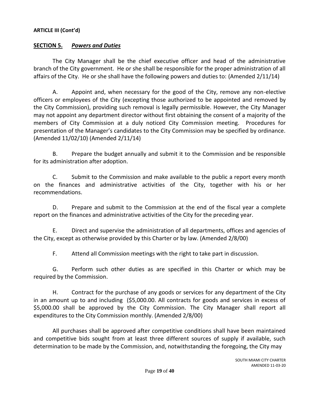### <span id="page-18-0"></span>**SECTION 5.** *Powers and Duties*

The City Manager shall be the chief executive officer and head of the administrative branch of the City government. He or she shall be responsible for the proper administration of all affairs of the City. He or she shall have the following powers and duties to: (Amended 2/11/14)

A. Appoint and, when necessary for the good of the City, remove any non-elective officers or employees of the City (excepting those authorized to be appointed and removed by the City Commission), providing such removal is legally permissible. However, the City Manager may not appoint any department director without first obtaining the consent of a majority of the members of City Commission at a duly noticed City Commission meeting. Procedures for presentation of the Manager's candidates to the City Commission may be specified by ordinance. (Amended 11/02/10) (Amended 2/11/14)

B. Prepare the budget annually and submit it to the Commission and be responsible for its administration after adoption.

C. Submit to the Commission and make available to the public a report every month on the finances and administrative activities of the City, together with his or her recommendations.

D. Prepare and submit to the Commission at the end of the fiscal year a complete report on the finances and administrative activities of the City for the preceding year.

E. Direct and supervise the administration of all departments, offices and agencies of the City, except as otherwise provided by this Charter or by law. (Amended 2/8/00)

F. Attend all Commission meetings with the right to take part in discussion.

G. Perform such other duties as are specified in this Charter or which may be required by the Commission.

H. Contract for the purchase of any goods or services for any department of the City in an amount up to and including (\$5,000.00. All contracts for goods and services in excess of \$5,000.00 shall be approved by the City Commission. The City Manager shall report all expenditures to the City Commission monthly. (Amended 2/8/00)

All purchases shall be approved after competitive conditions shall have been maintained and competitive bids sought from at least three different sources of supply if available, such determination to be made by the Commission, and, notwithstanding the foregoing, the City may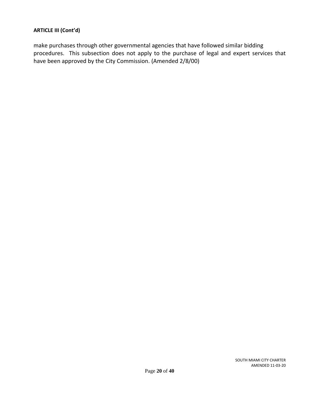make purchases through other governmental agencies that have followed similar bidding procedures. This subsection does not apply to the purchase of legal and expert services that have been approved by the City Commission. (Amended 2/8/00)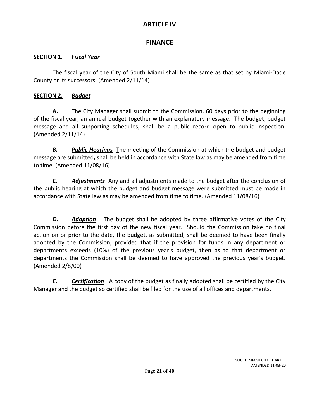# **ARTICLE IV**

# **FINANCE**

## <span id="page-20-1"></span><span id="page-20-0"></span>**SECTION 1.** *Fiscal Year*

The fiscal year of the City of South Miami shall be the same as that set by Miami-Dade County or its successors. (Amended 2/11/14)

# <span id="page-20-2"></span>**SECTION 2.** *Budget*

**A.** The City Manager shall submit to the Commission, 60 days prior to the beginning of the fiscal year, an annual budget together with an explanatory message. The budget, budget message and all supporting schedules, shall be a public record open to public inspection. (Amended 2/11/14)

*B. Public Hearings* The meeting of the Commission at which the budget and budget message are submitted, shall be held in accordance with State law as may be amended from time to time. (Amended 11/08/16)

*C. Adjustments* Any and all adjustments made to the budget after the conclusion of the public hearing at which the budget and budget message were submitted must be made in accordance with State law as may be amended from time to time. (Amended 11/08/16)

*D. Adoption* The budget shall be adopted by three affirmative votes of the City Commission before the first day of the new fiscal year. Should the Commission take no final action on or prior to the date, the budget, as submitted, shall be deemed to have been finally adopted by the Commission, provided that if the provision for funds in any department or departments exceeds (10%) of the previous year's budget, then as to that department or departments the Commission shall be deemed to have approved the previous year's budget. (Amended 2/8/00)

*E. Certification* A copy of the budget as finally adopted shall be certified by the City Manager and the budget so certified shall be filed for the use of all offices and departments.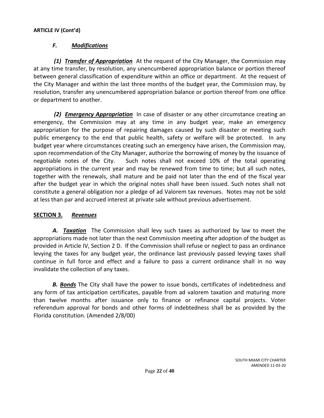# *F. Modifications*

*(1) Transfer of Appropriation* At the request of the City Manager, the Commission may at any time transfer, by resolution, any unencumbered appropriation balance or portion thereof between general classification of expenditure within an office or department. At the request of the City Manager and within the last three months of the budget year, the Commission may, by resolution, transfer any unencumbered appropriation balance or portion thereof from one office or department to another.

*(2) Emergency Appropriation* In case of disaster or any other circumstance creating an emergency, the Commission may at any time in any budget year, make an emergency appropriation for the purpose of repairing damages caused by such disaster or meeting such public emergency to the end that public health, safety or welfare will be protected. In any budget year where circumstances creating such an emergency have arisen, the Commission may, upon recommendation of the City Manager, authorize the borrowing of money by the issuance of negotiable notes of the City. Such notes shall not exceed 10% of the total operating appropriations in the current year and may be renewed from time to time; but all such notes, together with the renewals, shall mature and be paid not later than the end of the fiscal year after the budget year in which the original notes shall have been issued. Such notes shall not constitute a general obligation nor a pledge of ad Valorem tax revenues. Notes may not be sold at less than par and accrued interest at private sale without previous advertisement.

### <span id="page-21-0"></span>**SECTION 3.** *Revenues*

*A. Taxation* The Commission shall levy such taxes as authorized by law to meet the appropriations made not later than the next Commission meeting after adoption of the budget as provided in Article IV, Section 2 D. If the Commission shall refuse or neglect to pass an ordinance levying the taxes for any budget year, the ordinance last previously passed levying taxes shall continue in full force and effect and a failure to pass a current ordinance shall in no way invalidate the collection of any taxes.

*B. Bonds* The City shall have the power to issue bonds, certificates of indebtedness and any form of tax anticipation certificates, payable from ad valorem taxation and maturing more than twelve months after issuance only to finance or refinance capital projects. Voter referendum approval for bonds and other forms of indebtedness shall be as provided by the Florida constitution. (Amended 2/8/00)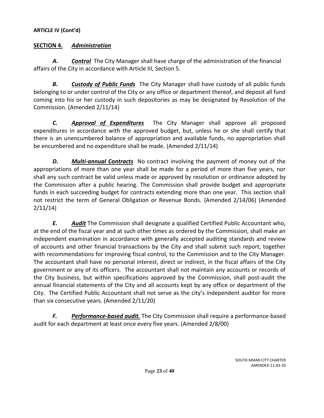# <span id="page-22-0"></span>**SECTION 4.** *Administration*

*A. Control* The City Manager shall have charge of the administration of the financial affairs of the City in accordance with Article III, Section 5.

*B. Custody of Public Funds* The City Manager shall have custody of all public funds belonging to or under control of the City or any office or department thereof, and deposit all fund coming into his or her custody in such depositories as may be designated by Resolution of the Commission. (Amended 2/11/14)

*C. Approval of Expenditures* The City Manager shall approve all proposed expenditures in accordance with the approved budget, but, unless he or she shall certify that there is an unencumbered balance of appropriation and available funds, no appropriation shall be encumbered and no expenditure shall be made. (Amended 2/11/14)

*D. Multi-annual Contracts* No contract involving the payment of money out of the appropriations of more than one year shall be made for a period of more than five years, nor shall any such contract be valid unless made or approved by resolution or ordinance adopted by the Commission after a public hearing. The Commission shall provide budget and appropriate funds in each succeeding budget for contracts extending more than one year. This section shall not restrict the term of General Obligation or Revenue Bonds. (Amended 2/14/06) (Amended 2/11/14)

*E. Audit* The Commission shall designate a qualified Certified Public Accountant who, at the end of the fiscal year and at such other times as ordered by the Commission, shall make an independent examination in accordance with generally accepted auditing standards and review of accounts and other financial transactions by the City and shall submit such report, together with recommendations for improving fiscal control, to the Commission and to the City Manager. The accountant shall have no personal interest, direct or indirect, in the fiscal affairs of the City government or any of its officers. The accountant shall not maintain any accounts or records of the City business, but within specifications approved by the Commission, shall post-audit the annual financial statements of the City and all accounts kept by any office or department of the City. The Certified Public Accountant shall not serve as the city's independent auditor for more than six consecutive years. (Amended 2/11/20)

*F. Performance-based audit.* The City Commission shall require a performance-based audit for each department at least once every five years. (Amended 2/8/00)

> SOUTH MIAMI CITY CHARTER AMENDED 11-03-20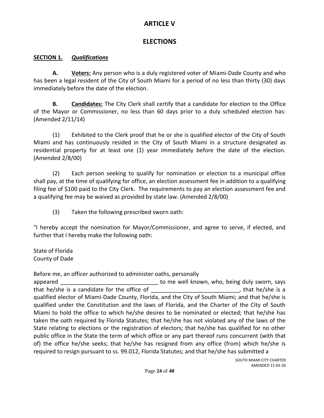# **ARTICLE V**

# **ELECTIONS**

# <span id="page-23-1"></span><span id="page-23-0"></span>**SECTION 1.** *Qualifications*

**A. Voters:** Any person who is a duly registered voter of Miami-Dade County and who has been a legal resident of the City of South Miami for a period of no less than thirty (30) days immediately before the date of the election.

**B. Candidates:** The City Clerk shall certify that a candidate for election to the Office of the Mayor or Commissioner, no less than 60 days prior to a duly scheduled election has: (Amended 2/11/14)

(1) Exhibited to the Clerk proof that he or she is qualified elector of the City of South Miami and has continuously resided in the City of South Miami in a structure designated as residential property for at least one (1) year immediately before the date of the election. (Amended 2/8/00)

(2) Each person seeking to qualify for nomination or election to a municipal office shall pay, at the time of qualifying for office, an election assessment fee in addition to a qualifying filing fee of \$100 paid to the City Clerk. The requirements to pay an election assessment fee and a qualifying fee may be waived as provided by state law. (Amended 2/8/00)

(3) Taken the following prescribed sworn oath:

"I hereby accept the nomination for Mayor/Commissioner, and agree to serve, if elected, and further that I hereby make the following oath:

State of Florida County of Dade

Before me, an officer authorized to administer oaths, personally

appeared **with a suppeared**  $\frac{1}{2}$  and to me well known, who, being duly sworn, says that he/she is a candidate for the office of the state of the state of the state of the state of the state of the state of the state of the state of the state of the state of the state of the state of the state of the stat qualified elector of Miami-Dade County, Florida, and the City of South Miami; and that he/she is qualified under the Constitution and the laws of Florida, and the Charter of the City of South Miami to hold the office to which he/she desires to be nominated or elected; that he/she has taken the oath required by Florida Statutes; that he/she has not violated any of the laws of the State relating to elections or the registration of electors; that he/she has qualified for no other public office in the State the term of which office or any part thereof runs concurrent (with that of) the office he/she seeks; that he/she has resigned from any office (from) which he/she is required to resign pursuant to ss. 99.012, Florida Statutes; and that he/she has submitted a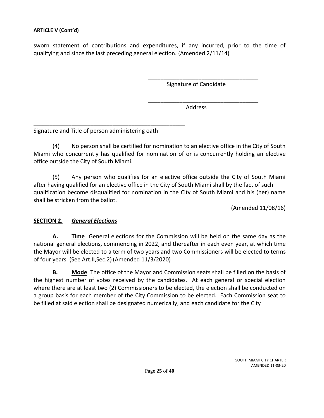sworn statement of contributions and expenditures, if any incurred, prior to the time of qualifying and since the last preceding general election. (Amended 2/11/14)

Signature of Candidate

\_\_\_\_\_\_\_\_\_\_\_\_\_\_\_\_\_\_\_\_\_\_\_\_\_\_\_\_\_\_\_\_\_\_\_

\_\_\_\_\_\_\_\_\_\_\_\_\_\_\_\_\_\_\_\_\_\_\_\_\_\_\_\_\_\_\_\_\_\_\_

Address

Signature and Title of person administering oath

\_\_\_\_\_\_\_\_\_\_\_\_\_\_\_\_\_\_\_\_\_\_\_\_\_\_\_\_\_\_\_\_\_\_\_\_\_\_\_\_\_\_\_\_\_\_\_\_

(4) No person shall be certified for nomination to an elective office in the City of South Miami who concurrently has qualified for nomination of or is concurrently holding an elective office outside the City of South Miami.

(5) Any person who qualifies for an elective office outside the City of South Miami after having qualified for an elective office in the City of South Miami shall by the fact of such qualification become disqualified for nomination in the City of South Miami and his (her) name shall be stricken from the ballot.

(Amended 11/08/16)

### <span id="page-24-0"></span>**SECTION 2.** *General Elections*

**A. Time** General elections for the Commission will be held on the same day as the national general elections, commencing in 2022, and thereafter in each even year, at which time the Mayor will be elected to a term of two years and two Commissioners will be elected to terms of four years. (See Art.II,Sec.2) (Amended 11/3/2020)

**B. Mode** The office of the Mayor and Commission seats shall be filled on the basis of the highest number of votes received by the candidates. At each general or special election where there are at least two (2) Commissioners to be elected, the election shall be conducted on a group basis for each member of the City Commission to be elected. Each Commission seat to be filled at said election shall be designated numerically, and each candidate for the City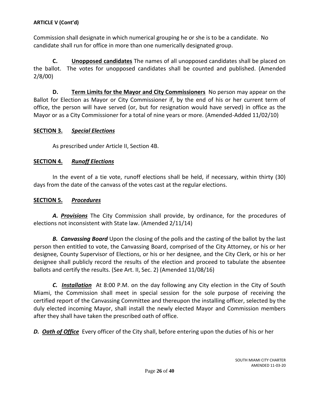Commission shall designate in which numerical grouping he or she is to be a candidate. No candidate shall run for office in more than one numerically designated group.

**C. Unopposed candidates** The names of all unopposed candidates shall be placed on the ballot. The votes for unopposed candidates shall be counted and published. (Amended 2/8/00)

**D. Term Limits for the Mayor and City Commissioners** No person may appear on the Ballot for Election as Mayor or City Commissioner if, by the end of his or her current term of office, the person will have served (or, but for resignation would have served) in office as the Mayor or as a City Commissioner for a total of nine years or more. (Amended-Added 11/02/10)

### <span id="page-25-0"></span>**SECTION 3.** *Special Elections*

As prescribed under Article II, Section 4B.

## <span id="page-25-1"></span>**SECTION 4.** *Runoff Elections*

In the event of a tie vote, runoff elections shall be held, if necessary, within thirty (30) days from the date of the canvass of the votes cast at the regular elections.

## <span id="page-25-2"></span>**SECTION 5.** *Procedures*

*A. Provisions* The City Commission shall provide, by ordinance, for the procedures of elections not inconsistent with State law. (Amended 2/11/14)

*B. Canvassing Board* Upon the closing of the polls and the casting of the ballot by the last person then entitled to vote, the Canvassing Board, comprised of the City Attorney, or his or her designee, County Supervisor of Elections, or his or her designee, and the City Clerk, or his or her designee shall publicly record the results of the election and proceed to tabulate the absentee ballots and certify the results. (See Art. II, Sec. 2) (Amended 11/08/16)

*C. Installation* At 8:00 P.M. on the day following any City election in the City of South Miami, the Commission shall meet in special session for the sole purpose of receiving the certified report of the Canvassing Committee and thereupon the installing officer, selected by the duly elected incoming Mayor, shall install the newly elected Mayor and Commission members after they shall have taken the prescribed oath of office.

*D. Oath of Office* Every officer of the City shall, before entering upon the duties of his or her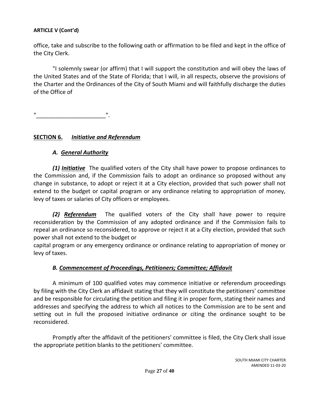office, take and subscribe to the following oath or affirmation to be filed and kept in the office of the City Clerk.

"I solemnly swear (or affirm) that I will support the constitution and will obey the laws of the United States and of the State of Florida; that I will, in all respects, observe the provisions of the Charter and the Ordinances of the City of South Miami and will faithfully discharge the duties of the Office of

"\_\_\_\_\_\_\_\_\_\_\_\_\_\_\_\_\_\_\_\_\_\_".

# <span id="page-26-0"></span>**SECTION 6.** *Initiative and Referendum*

# *A. General Authority*

*(1) Initiative* The qualified voters of the City shall have power to propose ordinances to the Commission and, if the Commission fails to adopt an ordinance so proposed without any change in substance, to adopt or reject it at a City election, provided that such power shall not extend to the budget or capital program or any ordinance relating to appropriation of money, levy of taxes or salaries of City officers or employees.

*(2) Referendum* The qualified voters of the City shall have power to require reconsideration by the Commission of any adopted ordinance and if the Commission fails to repeal an ordinance so reconsidered, to approve or reject it at a City election, provided that such power shall not extend to the budget or

capital program or any emergency ordinance or ordinance relating to appropriation of money or levy of taxes.

# *B. Commencement of Proceedings, Petitioners; Committee; Affidavit*

A minimum of 100 qualified votes may commence initiative or referendum proceedings by filing with the City Clerk an affidavit stating that they will constitute the petitioners' committee and be responsible for circulating the petition and filing it in proper form, stating their names and addresses and specifying the address to which all notices to the Commission are to be sent and setting out in full the proposed initiative ordinance or citing the ordinance sought to be reconsidered.

Promptly after the affidavit of the petitioners' committee is filed, the City Clerk shall issue the appropriate petition blanks to the petitioners' committee.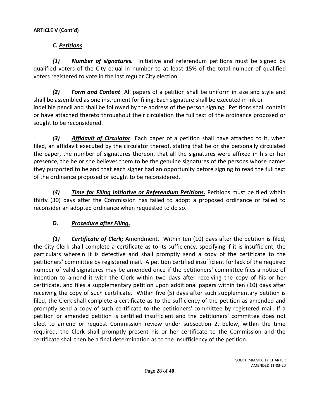# *C. Petitions*

*(1) Number of signatures.* Initiative and referendum petitions must be signed by qualified voters of the City equal in number to at least 15% of the total number of qualified voters registered to vote in the last regular City election.

*(2) Form and Content* All papers of a petition shall be uniform in size and style and shall be assembled as one instrument for filing. Each signature shall be executed in ink or indelible pencil and shall be followed by the address of the person signing. Petitions shall contain or have attached thereto throughout their circulation the full text of the ordinance proposed or sought to be reconsidered.

*(3) Affidavit of Circulator* Each paper of a petition shall have attached to it, when filed, an affidavit executed by the circulator thereof, stating that he or she personally circulated the paper, the number of signatures thereon, that all the signatures were affixed in his or her presence, the he or she believes them to be the genuine signatures of the persons whose names they purported to be and that each signer had an opportunity before signing to read the full text of the ordinance proposed or sought to be reconsidered.

*(4) Time for Filing Initiative or Referendum Petitions.* Petitions must be filed within thirty (30) days after the Commission has failed to adopt a proposed ordinance or failed to reconsider an adopted ordinance when requested to do so.

# *D. Procedure after Filing.*

*(1) Certificate of Clerk;* Amendment. Within ten (10) days after the petition is filed, the City Clerk shall complete a certificate as to its sufficiency, specifying if it is insufficient, the particulars wherein it is defective and shall promptly send a copy of the certificate to the petitioners' committee by registered mail. A petition certified insufficient for lack of the required number of valid signatures may be amended once if the petitioners' committee files a notice of intention to amend it with the Clerk within two days after receiving the copy of his or her certificate, and files a supplementary petition upon additional papers within ten (10) days after receiving the copy of such certificate. Within five (5) days after such supplementary petition is filed, the Clerk shall complete a certificate as to the sufficiency of the petition as amended and promptly send a copy of such certificate to the petitioners' committee by registered mail. If a petition or amended petition is certified insufficient and the petitioners' committee does not elect to amend or request Commission review under subsection 2, below, within the time required, the Clerk shall promptly present his or her certificate to the Commission and the certificate shall then be a final determination as to the insufficiency of the petition.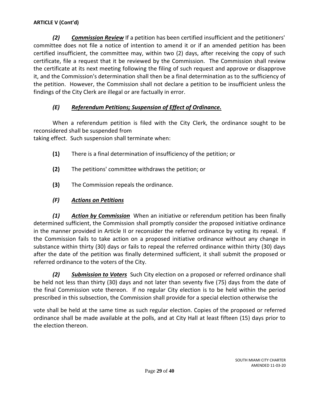*(2) Commission Review* If a petition has been certified insufficient and the petitioners' committee does not file a notice of intention to amend it or if an amended petition has been certified insufficient, the committee may, within two (2) days, after receiving the copy of such certificate, file a request that it be reviewed by the Commission. The Commission shall review the certificate at its next meeting following the filing of such request and approve or disapprove it, and the Commission's determination shall then be a final determination as to the sufficiency of the petition. However, the Commission shall not declare a petition to be insufficient unless the findings of the City Clerk are illegal or are factually in error.

# *(E) Referendum Petitions; Suspension of Effect of Ordinance.*

When a referendum petition is filed with the City Clerk, the ordinance sought to be reconsidered shall be suspended from taking effect. Such suspension shall terminate when:

**(1)** There is a final determination of insufficiency of the petition; or

- **(2)** The petitions' committee withdraws the petition; or
- **(3)** The Commission repeals the ordinance.

# *(F) Actions on Petitions*

*(1) Action by Commission* When an initiative or referendum petition has been finally determined sufficient, the Commission shall promptly consider the proposed initiative ordinance in the manner provided in Article II or reconsider the referred ordinance by voting its repeal. If the Commission fails to take action on a proposed initiative ordinance without any change in substance within thirty (30) days or fails to repeal the referred ordinance within thirty (30) days after the date of the petition was finally determined sufficient, it shall submit the proposed or referred ordinance to the voters of the City.

*(2) Submission to Voters* Such City election on a proposed or referred ordinance shall be held not less than thirty (30) days and not later than seventy five (75) days from the date of the final Commission vote thereon. If no regular City election is to be held within the period prescribed in this subsection, the Commission shall provide for a special election otherwise the

vote shall be held at the same time as such regular election. Copies of the proposed or referred ordinance shall be made available at the polls, and at City Hall at least fifteen (15) days prior to the election thereon.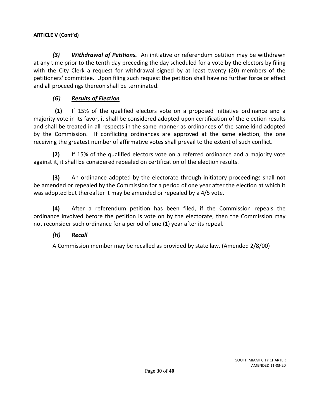*(3) Withdrawal of Petitions.* An initiative or referendum petition may be withdrawn at any time prior to the tenth day preceding the day scheduled for a vote by the electors by filing with the City Clerk a request for withdrawal signed by at least twenty (20) members of the petitioners' committee. Upon filing such request the petition shall have no further force or effect and all proceedings thereon shall be terminated.

# *(G) Results of Election*

**(1)** If 15% of the qualified electors vote on a proposed initiative ordinance and a majority vote in its favor, it shall be considered adopted upon certification of the election results and shall be treated in all respects in the same manner as ordinances of the same kind adopted by the Commission. If conflicting ordinances are approved at the same election, the one receiving the greatest number of affirmative votes shall prevail to the extent of such conflict.

**(2)** If 15% of the qualified electors vote on a referred ordinance and a majority vote against it, it shall be considered repealed on certification of the election results.

**(3)** An ordinance adopted by the electorate through initiatory proceedings shall not be amended or repealed by the Commission for a period of one year after the election at which it was adopted but thereafter it may be amended or repealed by a 4/5 vote.

**(4)** After a referendum petition has been filed, if the Commission repeals the ordinance involved before the petition is vote on by the electorate, then the Commission may not reconsider such ordinance for a period of one (1) year after its repeal.

# *(H) Recall*

A Commission member may be recalled as provided by state law. (Amended 2/8/00)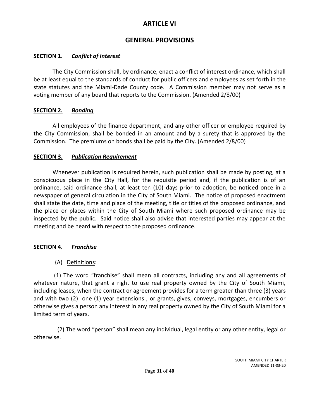# **ARTICLE VI**

# **GENERAL PROVISIONS**

# <span id="page-30-1"></span><span id="page-30-0"></span>**SECTION 1.** *Conflict of Interest*

The City Commission shall, by ordinance, enact a conflict of interest ordinance, which shall be at least equal to the standards of conduct for public officers and employees as set forth in the state statutes and the Miami-Dade County code. A Commission member may not serve as a voting member of any board that reports to the Commission. (Amended 2/8/00)

# <span id="page-30-2"></span>**SECTION 2.** *Bonding*

All employees of the finance department, and any other officer or employee required by the City Commission, shall be bonded in an amount and by a surety that is approved by the Commission. The premiums on bonds shall be paid by the City. (Amended 2/8/00)

# <span id="page-30-3"></span>**SECTION 3.** *Publication Requirement*

Whenever publication is required herein, such publication shall be made by posting, at a conspicuous place in the City Hall, for the requisite period and, if the publication is of an ordinance, said ordinance shall, at least ten (10) days prior to adoption, be noticed once in a newspaper of general circulation in the City of South Miami. The notice of proposed enactment shall state the date, time and place of the meeting, title or titles of the proposed ordinance, and the place or places within the City of South Miami where such proposed ordinance may be inspected by the public. Said notice shall also advise that interested parties may appear at the meeting and be heard with respect to the proposed ordinance.

# <span id="page-30-4"></span>**SECTION 4.** *Franchise*

(A) Definitions:

(1) The word "franchise" shall mean all contracts, including any and all agreements of whatever nature, that grant a right to use real property owned by the City of South Miami, including leases, when the contract or agreement provides for a term greater than three (3) years and with two (2) one (1) year extensions , or grants, gives, conveys, mortgages, encumbers or otherwise gives a person any interest in any real property owned by the City of South Miami for a limited term of years.

(2) The word "person" shall mean any individual, legal entity or any other entity, legal or otherwise.

> SOUTH MIAMI CITY CHARTER AMENDED 11-03-20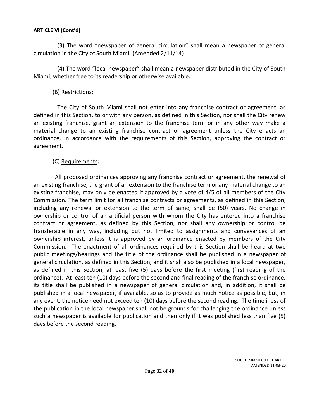(3) The word "newspaper of general circulation" shall mean a newspaper of general circulation in the City of South Miami. (Amended 2/11/14)

(4) The word "local newspaper" shall mean a newspaper distributed in the City of South Miami, whether free to its readership or otherwise available.

### (B) Restrictions:

The City of South Miami shall not enter into any franchise contract or agreement, as defined in this Section, to or with any person, as defined in this Section, nor shall the City renew an existing franchise, grant an extension to the franchise term or in any other way make a material change to an existing franchise contract or agreement unless the City enacts an ordinance, in accordance with the requirements of this Section, approving the contract or agreement.

## (C) Requirements:

All proposed ordinances approving any franchise contract or agreement, the renewal of an existing franchise, the grant of an extension to the franchise term or any material change to an existing franchise, may only be enacted if approved by a vote of 4/5 of all members of the City Commission. The term limit for all franchise contracts or agreements, as defined in this Section, including any renewal or extension to the term of same, shall be (50) years. No change in ownership or control of an artificial person with whom the City has entered into a franchise contract or agreement, as defined by this Section, nor shall any ownership or control be transferable in any way, including but not limited to assignments and conveyances of an ownership interest, unless it is approved by an ordinance enacted by members of the City Commission. The enactment of all ordinances required by this Section shall be heard at two public meetings/hearings and the title of the ordinance shall be published in a newspaper of general circulation, as defined in this Section, and it shall also be published in a local newspaper, as defined in this Section, at least five (5) days before the first meeting (first reading of the ordinance). At least ten (10) days before the second and final reading of the franchise ordinance, its title shall be published in a newspaper of general circulation and, in addition, it shall be published in a local newspaper, if available, so as to provide as much notice as possible, but, in any event, the notice need not exceed ten (10) days before the second reading. The timeliness of the publication in the local newspaper shall not be grounds for challenging the ordinance unless such a newspaper is available for publication and then only if it was published less than five (5) days before the second reading.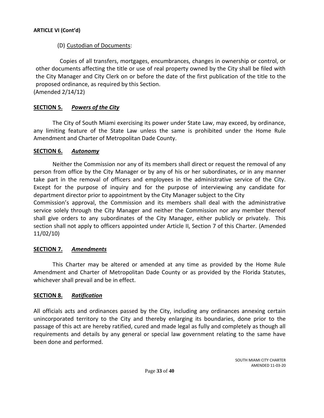## (D) Custodian of Documents:

Copies of all transfers, mortgages, encumbrances, changes in ownership or control, or other documents affecting the title or use of real property owned by the City shall be filed with the City Manager and City Clerk on or before the date of the first publication of the title to the proposed ordinance, as required by this Section.

(Amended 2/14/12)

# <span id="page-32-0"></span>**SECTION 5.** *Powers of the City*

The City of South Miami exercising its power under State Law, may exceed, by ordinance, any limiting feature of the State Law unless the same is prohibited under the Home Rule Amendment and Charter of Metropolitan Dade County.

### <span id="page-32-1"></span>**SECTION 6.** *Autonomy*

Neither the Commission nor any of its members shall direct or request the removal of any person from office by the City Manager or by any of his or her subordinates, or in any manner take part in the removal of officers and employees in the administrative service of the City. Except for the purpose of inquiry and for the purpose of interviewing any candidate for department director prior to appointment by the City Manager subject to the City

Commission's approval, the Commission and its members shall deal with the administrative service solely through the City Manager and neither the Commission nor any member thereof shall give orders to any subordinates of the City Manager, either publicly or privately. This section shall not apply to officers appointed under Article II, Section 7 of this Charter. (Amended 11/02/10)

# <span id="page-32-2"></span>**SECTION 7.** *Amendments*

This Charter may be altered or amended at any time as provided by the Home Rule Amendment and Charter of Metropolitan Dade County or as provided by the Florida Statutes, whichever shall prevail and be in effect.

### <span id="page-32-3"></span>**SECTION 8.** *Ratification*

All officials acts and ordinances passed by the City, including any ordinances annexing certain unincorporated territory to the City and thereby enlarging its boundaries, done prior to the passage of this act are hereby ratified, cured and made legal as fully and completely as though all requirements and details by any general or special law government relating to the same have been done and performed.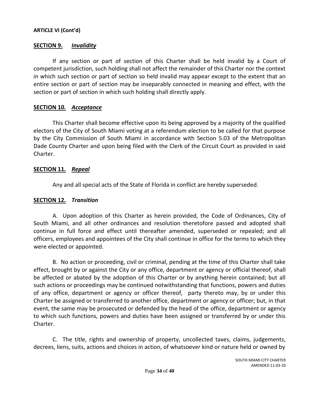### <span id="page-33-0"></span>**SECTION 9.** *Invalidity*

If any section or part of section of this Charter shall be held invalid by a Court of competent jurisdiction, such holding shall not affect the remainder of this Charter nor the context in which such section or part of section so held invalid may appear except to the extent that an entire section or part of section may be inseparably connected in meaning and effect, with the section or part of section in which such holding shall directly apply.

### <span id="page-33-1"></span>**SECTION 10.** *Acceptance*

This Charter shall become effective upon its being approved by a majority of the qualified electors of the City of South Miami voting at a referendum election to be called for that purpose by the City Commission of South Miami in accordance with Section 5.03 of the Metropolitan Dade County Charter and upon being filed with the Clerk of the Circuit Court as provided in said Charter.

#### <span id="page-33-2"></span>**SECTION 11.** *Repeal*

Any and all special acts of the State of Florida in conflict are hereby superseded.

#### <span id="page-33-3"></span>**SECTION 12.** *Transition*

A. Upon adoption of this Charter as herein provided, the Code of Ordinances, City of South Miami, and all other ordinances and resolution theretofore passed and adopted shall continue in full force and effect until thereafter amended, superseded or repealed; and all officers, employees and appointees of the City shall continue in office for the terms to which they were elected or appointed.

B. No action or proceeding, civil or criminal, pending at the time of this Charter shall take effect, brought by or against the City or any office, department or agency or official thereof, shall be affected or abated by the adoption of this Charter or by anything herein contained; but all such actions or proceedings may be continued notwithstanding that functions, powers and duties of any office, department or agency or officer thereof, party thereto may, by or under this Charter be assigned or transferred to another office, department or agency or officer; but, in that event, the same may be prosecuted or defended by the head of the office, department or agency to which such functions, powers and duties have been assigned or transferred by or under this Charter.

C. The title, rights and ownership of property, uncollected taxes, claims, judgements, decrees, liens, suits, actions and choices in action, of whatsoever kind or nature held or owned by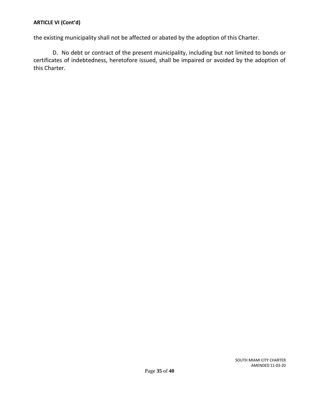the existing municipality shall not be affected or abated by the adoption of this Charter.

D. No debt or contract of the present municipality, including but not limited to bonds or certificates of indebtedness, heretofore issued, shall be impaired or avoided by the adoption of this Charter.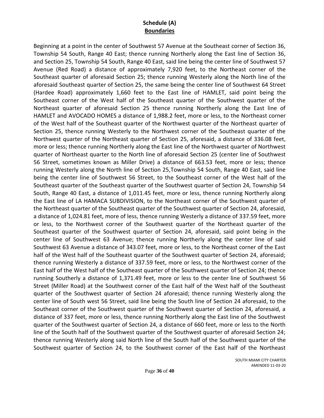# **Schedule (A) Boundaries**

<span id="page-35-0"></span>Beginning at a point in the center of Southwest 57 Avenue at the Southeast corner of Section 36, Township 54 South, Range 40 East; thence running Northerly along the East line of Section 36, and Section 25, Township 54 South, Range 40 East, said line being the center line of Southwest 57 Avenue (Red Road) a distance of approximately 7,920 feet, to the Northeast corner of the Southeast quarter of aforesaid Section 25; thence running Westerly along the North line of the aforesaid Southeast quarter of Section 25, the same being the center line of Southwest 64 Street (Hardee Road) approximately 1,660 feet to the East line of HAMLET, said point being the Southeast corner of the West half of the Southeast quarter of the Southwest quarter of the Northeast quarter of aforesaid Section 25 thence running Northerly along the East line of HAMLET and AVOCADO HOMES a distance of 1,988.2 feet, more or less, to the Northeast corner of the West half of the Southeast quarter of the Northwest quarter of the Northeast quarter of Section 25, thence running Westerly to the Northwest corner of the Southeast quarter of the Northwest quarter of the Northeast quarter of Section 25, aforesaid, a distance of 336.08 feet, more or less; thence running Northerly along the East line of the Northwest quarter of Northwest quarter of Northeast quarter to the North line of aforesaid Section 25 (center line of Southwest 56 Street, sometimes known as Miller Drive) a distance of 663.53 feet, more or less; thence running Westerly along the North line of Section 25,Township 54 South, Range 40 East, said line being the center line of Southwest 56 Street, to the Southeast corner of the West half of the Southeast quarter of the Southeast quarter of the Southwest quarter of Section 24, Township 54 South, Range 40 East, a distance of 1,011.45 feet, more or less, thence running Northerly along the East line of LA HAMACA SUBDIVISION, to the Northeast corner of the Southwest quarter of the Northeast quarter of the Southeast quarter of the Southwest quarter of Section 24, aforesaid, a distance of 1,024.81 feet, more of less, thence running Westerly a distance of 337.59 feet, more or less, to the Northwest corner of the Southwest quarter of the Northeast quarter of the Southeast quarter of the Southwest quarter of Section 24, aforesaid, said point being in the center line of Southwest 63 Avenue; thence running Northerly along the center line of said Southwest 63 Avenue a distance of 343.07 feet, more or less, to the Northeast corner of the East half of the West half of the Southeast quarter of the Southwest quarter of Section 24, aforesaid; thence running Westerly a distance of 337.59 feet, more or less, to the Northwest corner of the East half of the West half of the Southeast quarter of the Southwest quarter of Section 24; thence running Southerly a distance of 1,371.49 feet, more or less to the center line of Southwest 56 Street (Miller Road) at the Southwest corner of the East half of the West half of the Southeast quarter of the Southwest quarter of Section 24 aforesaid; thence running Westerly along the center line of South west 56 Street, said line being the South line of Section 24 aforesaid, to the Southeast corner of the Southwest quarter of the Southwest quarter of Section 24, aforesaid, a distance of 337 feet, more or less, thence running Northerly along the East line of the Southwest quarter of the Southwest quarter of Section 24, a distance of 660 feet, more or less to the North line of the South half of the Southwest quarter of the Southwest quarter of aforesaid Section 24; thence running Westerly along said North line of the South half of the Southwest quarter of the Southwest quarter of Section 24, to the Southwest corner of the East half of the Northeast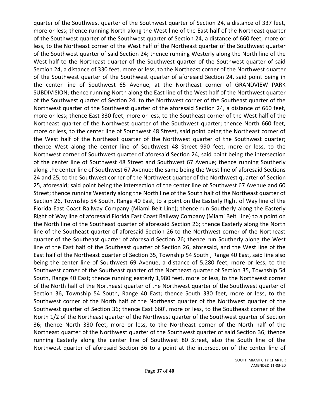quarter of the Southwest quarter of the Southwest quarter of Section 24, a distance of 337 feet, more or less; thence running North along the West line of the East half of the Northeast quarter of the Southwest quarter of the Southwest quarter of Section 24, a distance of 660 feet, more or less, to the Northeast corner of the West half of the Northeast quarter of the Southwest quarter of the Southwest quarter of said Section 24; thence running Westerly along the North line of the West half to the Northeast quarter of the Southwest quarter of the Southwest quarter of said Section 24, a distance of 330 feet, more or less, to the Northeast corner of the Northwest quarter of the Southwest quarter of the Southwest quarter of aforesaid Section 24, said point being in the center line of Southwest 65 Avenue, at the Northeast corner of GRANDVIEW PARK SUBDIVISION; thence running North along the East line of the West half of the Northwest quarter of the Southwest quarter of Section 24, to the Northwest corner of the Southeast quarter of the Northwest quarter of the Southwest quarter of the aforesaid Section 24, a distance of 660 feet, more or less; thence East 330 feet, more or less, to the Southeast corner of the West half of the Northeast quarter of the Northwest quarter of the Southwest quarter; thence North 660 feet, more or less, to the center line of Southwest 48 Street, said point being the Northeast corner of the West half of the Northeast quarter of the Northwest quarter of the Southwest quarter; thence West along the center line of Southwest 48 Street 990 feet, more or less, to the Northwest corner of Southwest quarter of aforesaid Section 24, said point being the intersection of the center line of Southwest 48 Street and Southwest 67 Avenue; thence running Southerly along the center line of Southwest 67 Avenue; the same being the West line of aforesaid Sections 24 and 25, to the Southwest corner of the Northwest quarter of the Northwest quarter of Section 25, aforesaid; said point being the intersection of the center line of Southwest 67 Avenue and 60 Street; thence running Westerly along the North line of the South half of the Northeast quarter of Section 26, Township 54 South, Range 40 East, to a point on the Easterly Right of Way line of the Florida East Coast Railway Company (Miami Belt Line); thence run Southerly along the Easterly Right of Way line of aforesaid Florida East Coast Railway Company (Miami Belt Line) to a point on the North line of the Southeast quarter of aforesaid Section 26; thence Easterly along the North line of the Southeast quarter of aforesaid Section 26 to the Northwest corner of the Northeast quarter of the Southeast quarter of aforesaid Section 26; thence run Southerly along the West line of the East half of the Southeast quarter of Section 26, aforesaid, and the West line of the East half of the Northeast quarter of Section 35, Township 54 South , Range 40 East, said line also being the center line of Southwest 69 Avenue, a distance of 5,280 feet, more or less, to the Southwest corner of the Southeast quarter of the Northeast quarter of Section 35, Township 54 South, Range 40 East; thence running easterly 1,980 feet, more or less, to the Northwest corner of the North half of the Northeast quarter of the Northwest quarter of the Southwest quarter of Section 36, Township 54 South, Range 40 East; thence South 330 feet, more or less, to the Southwest corner of the North half of the Northeast quarter of the Northwest quarter of the Southwest quarter of Section 36; thence East 660', more or less, to the Southeast corner of the North 1/2 of the Northeast quarter of the Northwest quarter of the Southwest quarter of Section 36; thence North 330 feet, more or less, to the Northeast corner of the North half of the Northeast quarter of the Northwest quarter of the Southwest quarter of said Section 36; thence running Easterly along the center line of Southwest 80 Street, also the South line of the Northwest quarter of aforesaid Section 36 to a point at the intersection of the center line of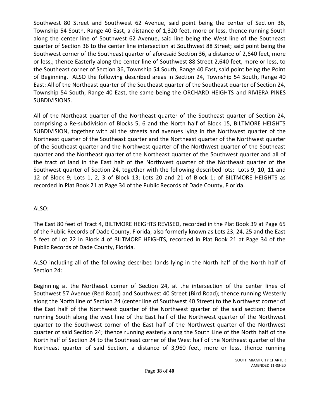Southwest 80 Street and Southwest 62 Avenue, said point being the center of Section 36, Township 54 South, Range 40 East, a distance of 1,320 feet, more or less, thence running South along the center line of Southwest 62 Avenue, said line being the West line of the Southeast quarter of Section 36 to the center line intersection at Southwest 88 Street; said point being the Southwest corner of the Southeast quarter of aforesaid Section 36, a distance of 2,640 feet, more or less,; thence Easterly along the center line of Southwest 88 Street 2,640 feet, more or less, to the Southeast corner of Section 36, Township 54 South, Range 40 East, said point being the Point of Beginning. ALSO the following described areas in Section 24, Township 54 South, Range 40 East: All of the Northeast quarter of the Southeast quarter of the Southeast quarter of Section 24, Township 54 South, Range 40 East, the same being the ORCHARD HEIGHTS and RIVIERA PINES SUBDIVISIONS.

All of the Northeast quarter of the Northeast quarter of the Southeast quarter of Section 24, comprising a Re-subdivision of Blocks 5, 6 and the North half of Block 15, BILTMORE HEIGHTS SUBDIVISION, together with all the streets and avenues lying in the Northwest quarter of the Northeast quarter of the Southeast quarter and the Northeast quarter of the Northwest quarter of the Southeast quarter and the Northwest quarter of the Northwest quarter of the Southeast quarter and the Northeast quarter of the Northeast quarter of the Southwest quarter and all of the tract of land in the East half of the Northwest quarter of the Northeast quarter of the Southwest quarter of Section 24, together with the following described lots: Lots 9, 10, 11 and 12 of Block 9; Lots 1, 2, 3 of Block 13; Lots 20 and 21 of Block 1; of BILTMORE HEIGHTS as recorded in Plat Book 21 at Page 34 of the Public Records of Dade County, Florida.

# ALSO:

The East 80 feet of Tract 4, BILTMORE HEIGHTS REVISED, recorded in the Plat Book 39 at Page 65 of the Public Records of Dade County, Florida; also formerly known as Lots 23, 24, 25 and the East 5 feet of Lot 22 in Block 4 of BILTMORE HEIGHTS, recorded in Plat Book 21 at Page 34 of the Public Records of Dade County, Florida.

ALSO including all of the following described lands lying in the North half of the North half of Section 24:

Beginning at the Northeast corner of Section 24, at the intersection of the center lines of Southwest 57 Avenue (Red Road) and Southwest 40 Street (Bird Road); thence running Westerly along the North line of Section 24 (center line of Southwest 40 Street) to the Northwest corner of the East half of the Northwest quarter of the Northwest quarter of the said section; thence running South along the west line of the East half of the Northwest quarter of the Northwest quarter to the Southwest corner of the East half of the Northwest quarter of the Northwest quarter of said Section 24; thence running easterly along the South Line of the North half of the North half of Section 24 to the Southeast corner of the West half of the Northeast quarter of the Northeast quarter of said Section, a distance of 3,960 feet, more or less, thence running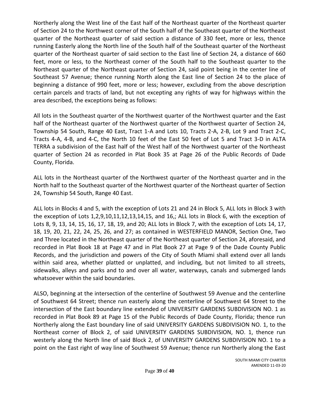Northerly along the West line of the East half of the Northeast quarter of the Northeast quarter of Section 24 to the Northwest corner of the South half of the Southeast quarter of the Northeast quarter of the Northeast quarter of said section a distance of 330 feet, more or less, thence running Easterly along the North line of the South half of the Southeast quarter of the Northeast quarter of the Northeast quarter of said section to the East line of Section 24, a distance of 660 feet, more or less, to the Northeast corner of the South half to the Southeast quarter to the Northeast quarter of the Northeast quarter of Section 24, said point being in the center line of Southeast 57 Avenue; thence running North along the East line of Section 24 to the place of beginning a distance of 990 feet, more or less; however, excluding from the above description certain parcels and tracts of land, but not excepting any rights of way for highways within the area described, the exceptions being as follows:

All lots in the Southeast quarter of the Northwest quarter of the Northwest quarter and the East half of the Northeast quarter of the Northwest quarter of the Northwest quarter of Section 24, Township 54 South, Range 40 East, Tract 1-A and Lots 10, Tracts 2-A, 2-B, Lot 9 and Tract 2-C, Tracts 4-A, 4-B, and 4-C, the North 10 feet of the East 50 feet of Lot 5 and Tract 3-D in ALTA TERRA a subdivision of the East half of the West half of the Northwest quarter of the Northeast quarter of Section 24 as recorded in Plat Book 35 at Page 26 of the Public Records of Dade County, Florida.

ALL lots in the Northeast quarter of the Northwest quarter of the Northeast quarter and in the North half to the Southeast quarter of the Northwest quarter of the Northeast quarter of Section 24, Township 54 South, Range 40 East.

ALL lots in Blocks 4 and 5, with the exception of Lots 21 and 24 in Block 5, ALL lots in Block 3 with the exception of Lots 1,2,9,10,11,12,13,14,15, and 16,; ALL lots in Block 6, with the exception of Lots 8, 9, 13, 14, 15, 16, 17, 18, 19, and 20; ALL lots in Block 7, with the exception of Lots 14, 17, 18, 19, 20, 21, 22, 24, 25, 26, and 27; as contained in WESTERFIELD MANOR, Section One, Two and Three located in the Northeast quarter of the Northeast quarter of Section 24, aforesaid, and recorded in Plat Book 18 at Page 47 and in Plat Book 27 at Page 9 of the Dade County Public Records, and the jurisdiction and powers of the City of South Miami shall extend over all lands within said area, whether platted or unplatted, and including, but not limited to all streets, sidewalks, alleys and parks and to and over all water, waterways, canals and submerged lands whatsoever within the said boundaries.

ALSO, beginning at the intersection of the centerline of Southwest 59 Avenue and the centerline of Southwest 64 Street; thence run easterly along the centerline of Southwest 64 Street to the intersection of the East boundary line extended of UNIVERSITY GARDENS SUBDIVISION NO. 1 as recorded in Plat Book 89 at Page 15 of the Public Records of Dade County, Florida; thence run Northerly along the East boundary line of said UNIVERSITY GARDENS SUBDIVISION NO. 1, to the Northeast corner of Block 2, of said UNIVERSITY GARDENS SUBDIVISION, NO. 1, thence run westerly along the North line of said Block 2, of UNIVERSITY GARDENS SUBDIVISION NO. 1 to a point on the East right of way line of Southwest 59 Avenue; thence run Northerly along the East